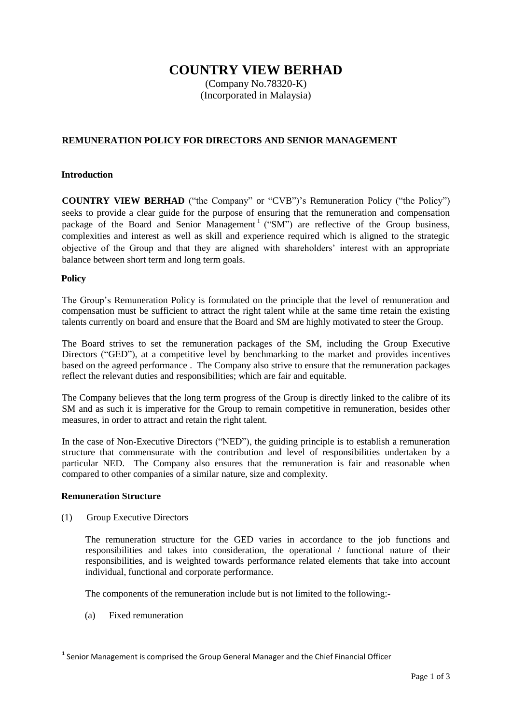# **COUNTRY VIEW BERHAD**

(Company No.78320-K) (Incorporated in Malaysia)

## **REMUNERATION POLICY FOR DIRECTORS AND SENIOR MANAGEMENT**

#### **Introduction**

**COUNTRY VIEW BERHAD** ("the Company" or "CVB")'s Remuneration Policy ("the Policy") seeks to provide a clear guide for the purpose of ensuring that the remuneration and compensation package of the Board and Senior Management<sup>1</sup> ("SM") are reflective of the Group business, complexities and interest as well as skill and experience required which is aligned to the strategic objective of the Group and that they are aligned with shareholders' interest with an appropriate balance between short term and long term goals.

#### **Policy**

The Group's Remuneration Policy is formulated on the principle that the level of remuneration and compensation must be sufficient to attract the right talent while at the same time retain the existing talents currently on board and ensure that the Board and SM are highly motivated to steer the Group.

The Board strives to set the remuneration packages of the SM, including the Group Executive Directors ("GED"), at a competitive level by benchmarking to the market and provides incentives based on the agreed performance . The Company also strive to ensure that the remuneration packages reflect the relevant duties and responsibilities; which are fair and equitable.

The Company believes that the long term progress of the Group is directly linked to the calibre of its SM and as such it is imperative for the Group to remain competitive in remuneration, besides other measures, in order to attract and retain the right talent.

In the case of Non-Executive Directors ("NED"), the guiding principle is to establish a remuneration structure that commensurate with the contribution and level of responsibilities undertaken by a particular NED. The Company also ensures that the remuneration is fair and reasonable when compared to other companies of a similar nature, size and complexity.

#### **Remuneration Structure**

#### (1) Group Executive Directors

The remuneration structure for the GED varies in accordance to the job functions and responsibilities and takes into consideration, the operational / functional nature of their responsibilities, and is weighted towards performance related elements that take into account individual, functional and corporate performance.

The components of the remuneration include but is not limited to the following:-

(a) Fixed remuneration

**.** 

 $<sup>1</sup>$  Senior Management is comprised the Group General Manager and the Chief Financial Officer</sup>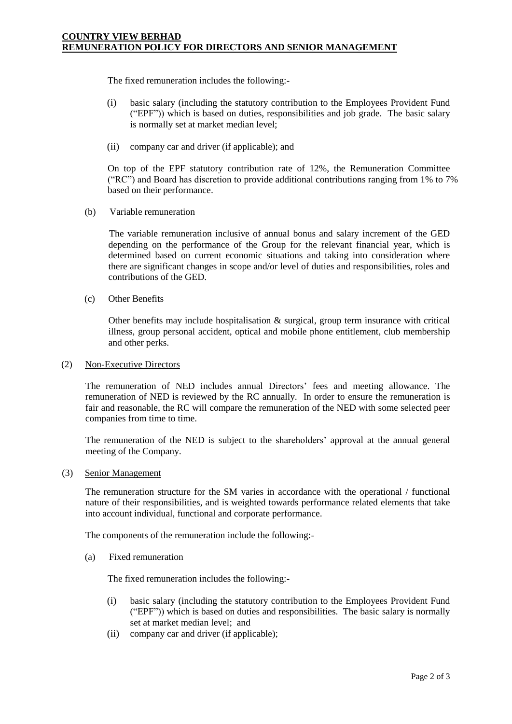The fixed remuneration includes the following:‐

- (i) basic salary (including the statutory contribution to the Employees Provident Fund ("EPF")) which is based on duties, responsibilities and job grade. The basic salary is normally set at market median level;
- (ii) company car and driver (if applicable); and

On top of the EPF statutory contribution rate of 12%, the Remuneration Committee ("RC") and Board has discretion to provide additional contributions ranging from 1% to 7% based on their performance.

(b) Variable remuneration

The variable remuneration inclusive of annual bonus and salary increment of the GED depending on the performance of the Group for the relevant financial year, which is determined based on current economic situations and taking into consideration where there are significant changes in scope and/or level of duties and responsibilities, roles and contributions of the GED.

(c) Other Benefits

Other benefits may include hospitalisation & surgical, group term insurance with critical illness, group personal accident, optical and mobile phone entitlement, club membership and other perks.

(2) Non‐Executive Directors

The remuneration of NED includes annual Directors' fees and meeting allowance. The remuneration of NED is reviewed by the RC annually. In order to ensure the remuneration is fair and reasonable, the RC will compare the remuneration of the NED with some selected peer companies from time to time.

The remuneration of the NED is subject to the shareholders' approval at the annual general meeting of the Company.

(3) Senior Management

The remuneration structure for the SM varies in accordance with the operational / functional nature of their responsibilities, and is weighted towards performance related elements that take into account individual, functional and corporate performance.

The components of the remuneration include the following:‐

(a) Fixed remuneration

The fixed remuneration includes the following:‐

- (i) basic salary (including the statutory contribution to the Employees Provident Fund ("EPF")) which is based on duties and responsibilities. The basic salary is normally set at market median level; and
- (ii) company car and driver (if applicable);